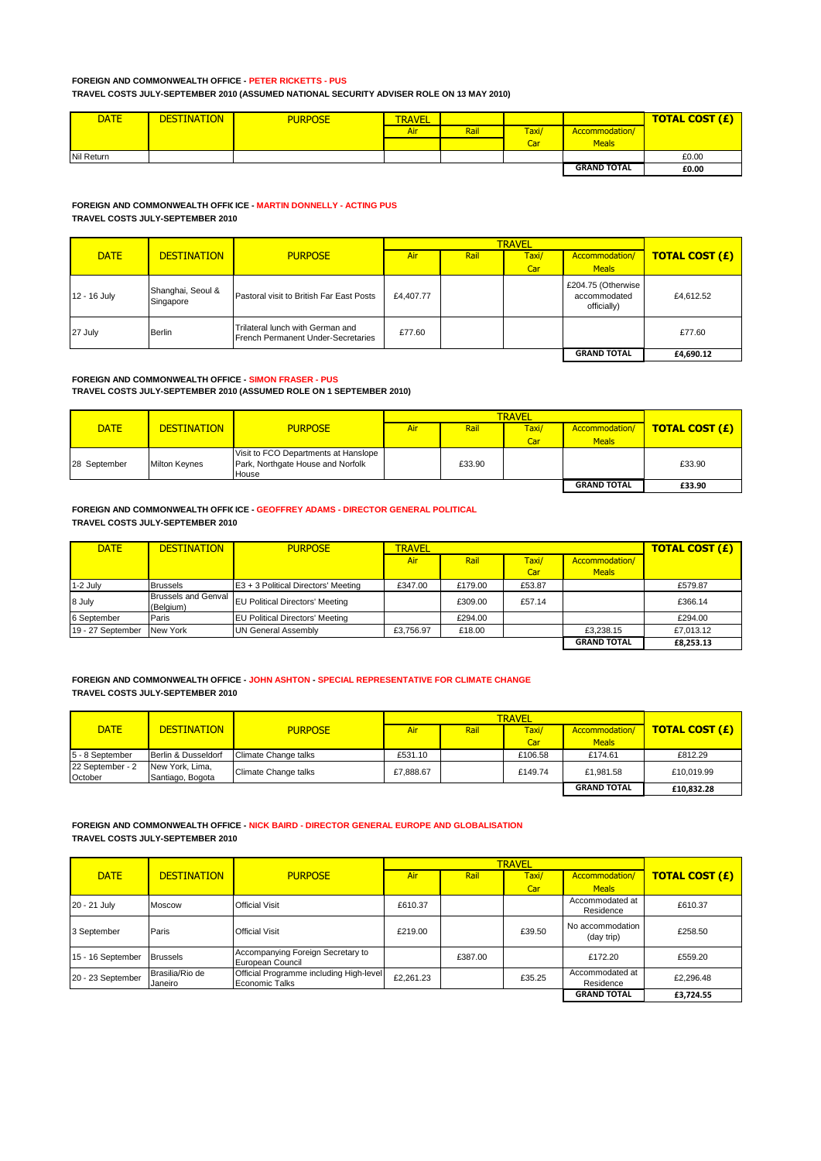### **FOREIGN AND COMMONWEALTH OFFICE - PETER RICKETTS - PUS TRAVEL COSTS JULY-SEPTEMBER 2010 (ASSUMED NATIONAL SECURITY ADVISER ROLE ON 13 MAY 2010)**

| <b>DATE</b> | <b>DESTINATION</b> | <b>PURPOSE</b> | <b>TRAVEL</b> |      |       |                    | <b>TOTAL COST (£)</b> |
|-------------|--------------------|----------------|---------------|------|-------|--------------------|-----------------------|
|             |                    |                | Air           | Rail | Taxi/ | Accommodation/     |                       |
|             |                    |                |               |      | Car   | <b>Meals</b>       |                       |
| Nil Return  |                    |                |               |      |       |                    | £0.00                 |
|             |                    |                |               |      |       | <b>GRAND TOTAL</b> | £0.00                 |

### **FOREIGN AND COMMONWEALTH OFFICICE - MARTIN DONNELLY - ACTING PUS TRAVEL COSTS JULY-SEPTEMBER 2010**

|              |                                |                                                                        |           | <b>TRAVEL</b> |              |                                                   |                       |  |
|--------------|--------------------------------|------------------------------------------------------------------------|-----------|---------------|--------------|---------------------------------------------------|-----------------------|--|
| <b>DATE</b>  | <b>DESTINATION</b>             | <b>PURPOSE</b>                                                         | Air       | Rail          | Taxi/<br>Car | Accommodation/<br><b>Meals</b>                    | <b>TOTAL COST (£)</b> |  |
| 12 - 16 July | Shanghai, Seoul &<br>Singapore | Pastoral visit to British Far East Posts                               | £4,407.77 |               |              | £204.75 (Otherwise<br>accommodated<br>officially) | £4.612.52             |  |
| 27 July      | Berlin                         | Trilateral lunch with German and<br>French Permanent Under-Secretaries | £77.60    |               |              |                                                   | £77.60                |  |
|              |                                |                                                                        |           |               |              | <b>GRAND TOTAL</b>                                | £4,690.12             |  |

#### **FOREIGN AND COMMONWEALTH OFFICE - SIMON FRASER - PUS TRAVEL COSTS JULY-SEPTEMBER 2010 (ASSUMED ROLE ON 1 SEPTEMBER 2010)**

|              |                      |                                                                                    |     | <b>TRAVEL</b> |       |                    |                       |  |
|--------------|----------------------|------------------------------------------------------------------------------------|-----|---------------|-------|--------------------|-----------------------|--|
| <b>DATE</b>  | <b>DESTINATION</b>   | <b>PURPOSE</b>                                                                     | Air | Rail          | Taxi/ | Accommodation/     | <b>TOTAL COST (£)</b> |  |
|              |                      |                                                                                    |     |               | Car   | <b>Meals</b>       |                       |  |
| 28 September | <b>Milton Keynes</b> | Visit to FCO Departments at Hanslope<br>Park, Northgate House and Norfolk<br>House |     | £33.90        |       |                    | £33.90                |  |
|              |                      |                                                                                    |     |               |       | <b>GRAND TOTAL</b> | £33.90                |  |

### **FOREIGN AND COMMONWEALTH OFFICICE - GEOFFREY ADAMS - DIRECTOR GENERAL POLITICAL TRAVEL COSTS JULY-SEPTEMBER 2010**

| <b>DATE</b>       | <b>DESTINATION</b>                      | <b>PURPOSE</b>                         | <b>TRAVEL</b> |         |        | <b>TOTAL COST (£)</b> |           |
|-------------------|-----------------------------------------|----------------------------------------|---------------|---------|--------|-----------------------|-----------|
|                   |                                         |                                        | <b>Air</b>    | Rail    | Taxi/  | Accommodation/        |           |
|                   |                                         |                                        |               |         | Car    | <b>Meals</b>          |           |
| 1-2 July          | <b>Brussels</b>                         | E3 + 3 Political Directors' Meeting    | £347.00       | £179.00 | £53.87 |                       | £579.87   |
| 8 July            | <b>Brussels and Genval</b><br>(Belaium) | <b>EU Political Directors' Meeting</b> |               | £309.00 | £57.14 |                       | £366.14   |
| 6 September       | Paris                                   | <b>EU Political Directors' Meeting</b> |               | £294.00 |        |                       | £294.00   |
| 19 - 27 September | New York                                | <b>UN General Assembly</b>             | £3.756.97     | £18.00  |        | £3.238.15             | £7.013.12 |
|                   |                                         |                                        |               |         |        | <b>GRAND TOTAL</b>    | £8,253.13 |

### **FOREIGN AND COMMONWEALTH OFFICE - JOHN ASHTON - SPECIAL REPRESENTATIVE FOR CLIMATE CHANGE TRAVEL COSTS JULY-SEPTEMBER 2010**

|                             |                                     |                      |           | <b>TRAVEL</b> |         |                    |                       |  |
|-----------------------------|-------------------------------------|----------------------|-----------|---------------|---------|--------------------|-----------------------|--|
| <b>DATE</b>                 | <b>DESTINATION</b>                  | <b>PURPOSE</b>       | Air       | Rail          | Taxi/   | Accommodation/     | <b>TOTAL COST (£)</b> |  |
|                             |                                     |                      |           |               | Car     | <b>Meals</b>       |                       |  |
| 5 - 8 September             | Berlin & Dusseldorf                 | Climate Change talks | £531.10   |               | £106.58 | £174.61            | £812.29               |  |
| 22 September - 2<br>October | New York, Lima,<br>Santiago, Bogota | Climate Change talks | £7.888.67 |               | £149.74 | £1.981.58          | £10.019.99            |  |
|                             |                                     |                      |           |               |         | <b>GRAND TOTAL</b> | £10,832.28            |  |

## **FOREIGN AND COMMONWEALTH OFFICE - NICK BAIRD - DIRECTOR GENERAL EUROPE AND GLOBALISATION TRAVEL COSTS JULY-SEPTEMBER 2010**

|                   |                            |                                                                  |           |         | <b>TRAVEL</b> |                                |                       |
|-------------------|----------------------------|------------------------------------------------------------------|-----------|---------|---------------|--------------------------------|-----------------------|
| <b>DATE</b>       | <b>DESTINATION</b>         | <b>PURPOSE</b>                                                   | Air       | Rail    | Taxi/         | Accommodation/                 | <b>TOTAL COST (£)</b> |
|                   |                            |                                                                  |           |         | Car           | <b>Meals</b>                   |                       |
| 20 - 21 July      | <b>Moscow</b>              | <b>Official Visit</b>                                            | £610.37   |         |               | Accommodated at<br>Residence   | £610.37               |
| 3 September       | Paris                      | <b>Official Visit</b>                                            | £219.00   |         | £39.50        | No accommodation<br>(day trip) | £258.50               |
| 15 - 16 September | <b>Brussels</b>            | Accompanying Foreign Secretary to<br>European Council            |           | £387.00 |               | £172.20                        | £559.20               |
| 20 - 23 September | Brasilia/Rio de<br>Janeiro | Official Programme including High-level<br><b>Economic Talks</b> | £2,261.23 |         | £35.25        | Accommodated at<br>Residence   | £2,296.48             |
|                   |                            |                                                                  |           |         |               | <b>GRAND TOTAL</b>             | £3,724.55             |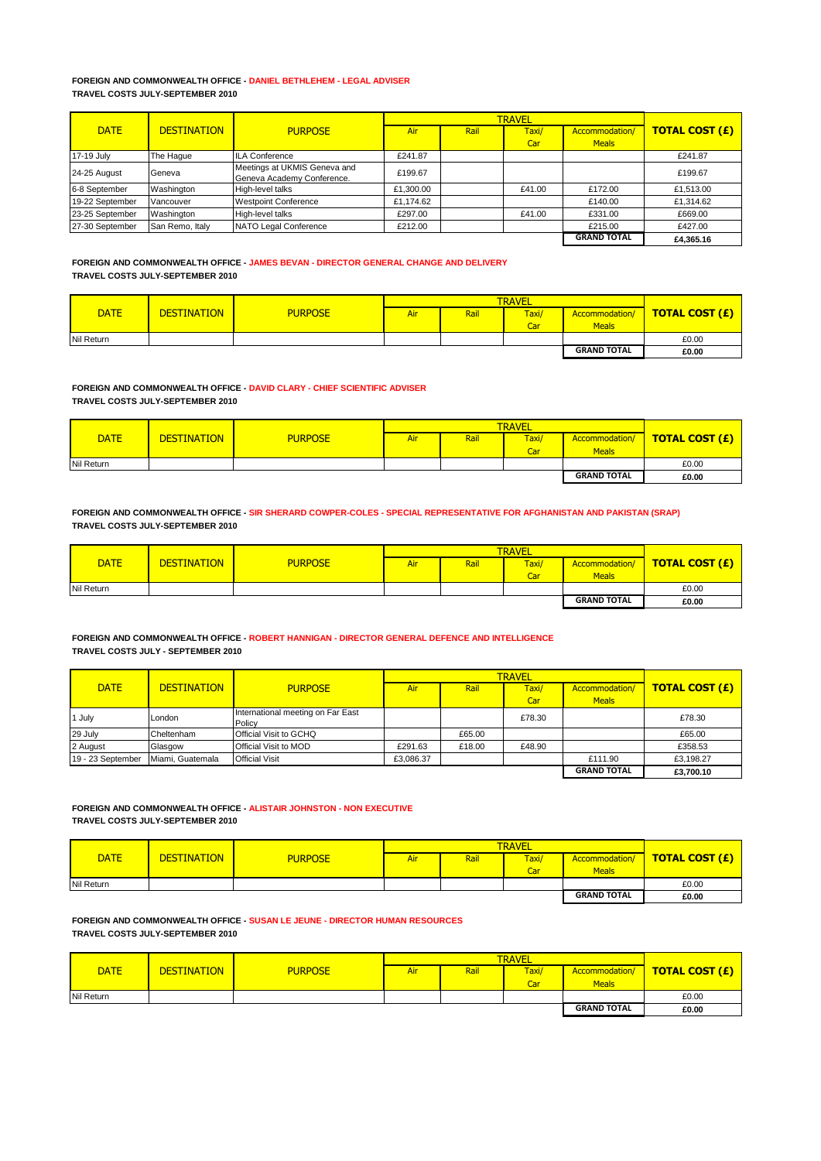#### **FOREIGN AND COMMONWEALTH OFFICE - DANIEL BETHLEHEM - LEGAL ADVISER TRAVEL COSTS JULY-SEPTEMBER 2010**

|                 |                    |                                                            |           | <b>TRAVEL</b> |        |                    |                       |
|-----------------|--------------------|------------------------------------------------------------|-----------|---------------|--------|--------------------|-----------------------|
| <b>DATE</b>     | <b>DESTINATION</b> | <b>PURPOSE</b>                                             | Air       | Rail          | Taxi/  | Accommodation/     | <b>TOTAL COST (£)</b> |
|                 |                    |                                                            |           |               | Car    | <b>Meals</b>       |                       |
| 17-19 July      | The Hague          | <b>ILA Conference</b>                                      | £241.87   |               |        |                    | £241.87               |
| 24-25 August    | Geneva             | Meetings at UKMIS Geneva and<br>Geneva Academy Conference. | £199.67   |               |        |                    | £199.67               |
| 6-8 September   | Washington         | High-level talks                                           | £1,300.00 |               | £41.00 | £172.00            | £1,513.00             |
| 19-22 September | <b>Vancouver</b>   | <b>Westpoint Conference</b>                                | £1.174.62 |               |        | £140.00            | £1,314.62             |
| 23-25 September | Washington         | High-level talks                                           | £297.00   |               | £41.00 | £331.00            | £669.00               |
| 27-30 September | San Remo, Italy    | NATO Legal Conference                                      | £212.00   |               |        | £215.00            | £427.00               |
|                 |                    |                                                            |           |               |        | <b>GRAND TOTAL</b> | £4.365.16             |

### **FOREIGN AND COMMONWEALTH OFFICE - JAMES BEVAN - DIRECTOR GENERAL CHANGE AND DELIVERY TRAVEL COSTS JULY-SEPTEMBER 2010**

|             |                    |                |            | <b>TRAVEL</b> |              |                    |                       |  |
|-------------|--------------------|----------------|------------|---------------|--------------|--------------------|-----------------------|--|
| <b>DATE</b> | <b>DESTINATION</b> | <b>PURPOSE</b> | <b>Air</b> | Rai           | <b>Taxi/</b> | Accommodation/     | <b>TOTAL COST (£)</b> |  |
|             |                    |                |            |               | Car          | <b>Meals</b>       |                       |  |
| Nil Return  |                    |                |            |               |              |                    | £0.00                 |  |
|             |                    |                |            |               |              | <b>GRAND TOTAL</b> | £0.00                 |  |

**FOREIGN AND COMMONWEALTH OFFICE - DAVID CLARY - CHIEF SCIENTIFIC ADVISER TRAVEL COSTS JULY-SEPTEMBER 2010**

| <b>DATE</b> | <b>DESTINATION</b> | <b>PURPOSE</b> | Air | Rail | Taxi/ | Accommodation/     | <b>TOTAL COST (£)</b> |
|-------------|--------------------|----------------|-----|------|-------|--------------------|-----------------------|
|             |                    |                |     |      | Car   | <b>Meals</b>       |                       |
| Nil Return  |                    |                |     |      |       |                    | £0.00                 |
|             |                    |                |     |      |       | <b>GRAND TOTAL</b> | £0.00                 |

**FOREIGN AND COMMONWEALTH OFFICE - SIR SHERARD COWPER-COLES - SPECIAL REPRESENTATIVE FOR AFGHANISTAN AND PAKISTAN (SRAP) TRAVEL COSTS JULY-SEPTEMBER 2010**

| <b>DATE</b> | <b>DESTINATION</b> | <b>PURPOSE</b> | Air | Rail | Taxi/ | Accommodation/     | <b>TOTAL COST (£)</b> |
|-------------|--------------------|----------------|-----|------|-------|--------------------|-----------------------|
|             |                    |                |     |      | Car   | <b>Meals</b>       |                       |
| Nil Return  |                    |                |     |      |       |                    | £0.00                 |
|             |                    |                |     |      |       | <b>GRAND TOTAL</b> | £0.00                 |

### **FOREIGN AND COMMONWEALTH OFFICE - ROBERT HANNIGAN - DIRECTOR GENERAL DEFENCE AND INTELLIGENCE TRAVEL COSTS JULY - SEPTEMBER 2010**

|                   |                    |                                             |           | <b>TRAVEL</b> |        |                    |                       |  |
|-------------------|--------------------|---------------------------------------------|-----------|---------------|--------|--------------------|-----------------------|--|
| <b>DATE</b>       | <b>DESTINATION</b> | <b>PURPOSE</b>                              | Air       | Rail          | Taxi/  | Accommodation/     | <b>TOTAL COST (£)</b> |  |
|                   |                    |                                             |           |               | Car    | <b>Meals</b>       |                       |  |
| 1 July            | London             | International meeting on Far East<br>Policy |           |               | £78.30 |                    | £78.30                |  |
| 29 July           | Cheltenham         | <b>Official Visit to GCHQ</b>               |           | £65.00        |        |                    | £65.00                |  |
| 2 August          | Glasgow            | <b>Official Visit to MOD</b>                | £291.63   | £18.00        | £48.90 |                    | £358.53               |  |
| 19 - 23 September | Miami, Guatemala   | <b>Official Visit</b>                       | £3,086.37 |               |        | £111.90            | £3,198.27             |  |
|                   |                    |                                             |           |               |        | <b>GRAND TOTAL</b> | £3.700.10             |  |

#### **FOREIGN AND COMMONWEALTH OFFICE - ALISTAIR JOHNSTON - NON EXECUTIVE TRAVEL COSTS JULY-SEPTEMBER 2010**

|             |                    |                |     | <b>TRAVEL</b> |       |                    |                       |  |
|-------------|--------------------|----------------|-----|---------------|-------|--------------------|-----------------------|--|
| <b>DATE</b> | <b>DESTINATION</b> | <b>PURPOSE</b> | Air | Rail          | Taxi/ | Accommodation/     | <b>TOTAL COST (£)</b> |  |
|             |                    |                |     |               | Car   | <b>Meals</b>       |                       |  |
| Nil Return  |                    |                |     |               |       |                    | £0.00                 |  |
|             |                    |                |     |               |       | <b>GRAND TOTAL</b> | £0.00                 |  |

**FOREIGN AND COMMONWEALTH OFFICE - SUSAN LE JEUNE - DIRECTOR HUMAN RESOURCES TRAVEL COSTS JULY-SEPTEMBER 2010**

|             | <b>DESTINATION</b> | <b>PURPOSE</b> | <b>TRAVEL</b> |      |       |                    |                       |
|-------------|--------------------|----------------|---------------|------|-------|--------------------|-----------------------|
| <b>DATE</b> |                    |                | Air           | Rail | Taxi/ | Accommodation/     | <b>TOTAL COST (£)</b> |
|             |                    |                |               |      | Car   | <b>Meals</b>       |                       |
| Nil Return  |                    |                |               |      |       |                    | £0.00                 |
|             |                    |                |               |      |       | <b>GRAND TOTAL</b> | £0.00                 |